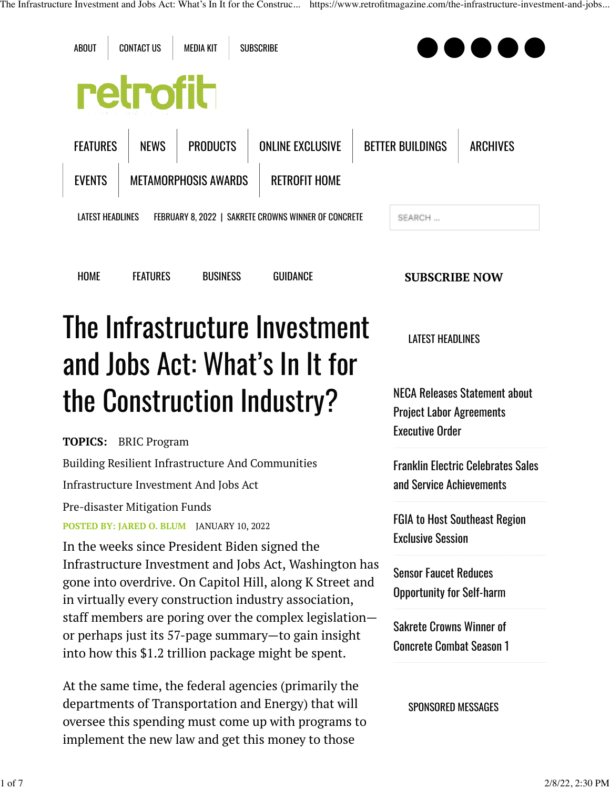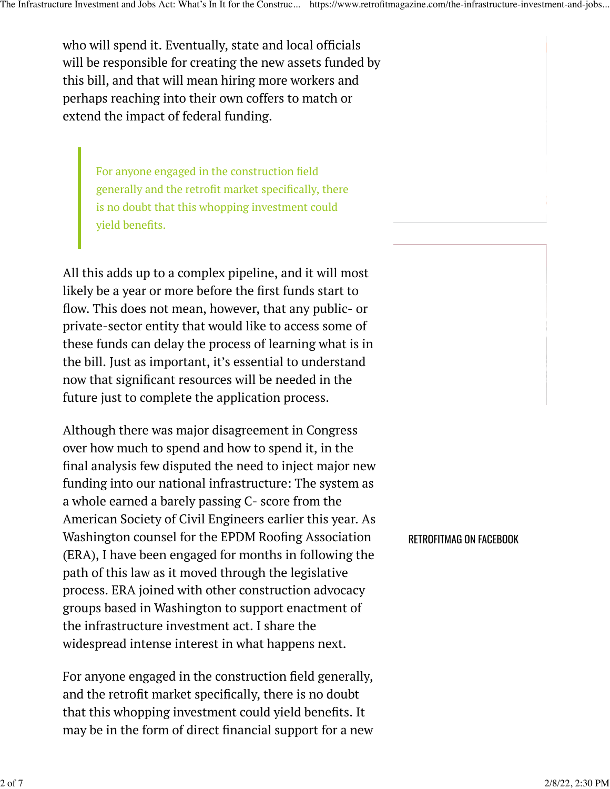who will spend it. Eventually, state and local officials will be responsible for creating the new assets funded by this bill, and that will mean hiring more workers and perhaps reaching into their own coffers to match or extend the impact of federal funding.

For anyone engaged in the construction field generally and the retrofit market specifically, there is no doubt that this whopping investment could yield benefits.

All this adds up to a complex pipeline, and it will most likely be a year or more before the first funds start to flow. This does not mean, however, that any public- or private-sector entity that would like to access some of these funds can delay the process of learning what is in the bill. Just as important, it's essential to understand now that significant resources will be needed in the future just to complete the application process.

Although there was major disagreement in Congress over how much to spend and how to spend it, in the final analysis few disputed the need to inject major new funding into our national infrastructure: The system as a whole earned a barely passing C- score from the American Society of Civil Engineers earlier this year. As Washington counsel for the EPDM Roofing Association (ERA), I have been engaged for months in following the path of this law as it moved through the legislative process. ERA joined with other construction advocacy groups based in Washington to support enactment of the infrastructure investment act. I share the widespread intense interest in what happens next.

For anyone engaged in the construction field generally, and the retrofit market specifically, there is no doubt that this whopping investment could yield benefits. It may be in the form of direct financial support for a new RETROFITMAG ON FACEBOOK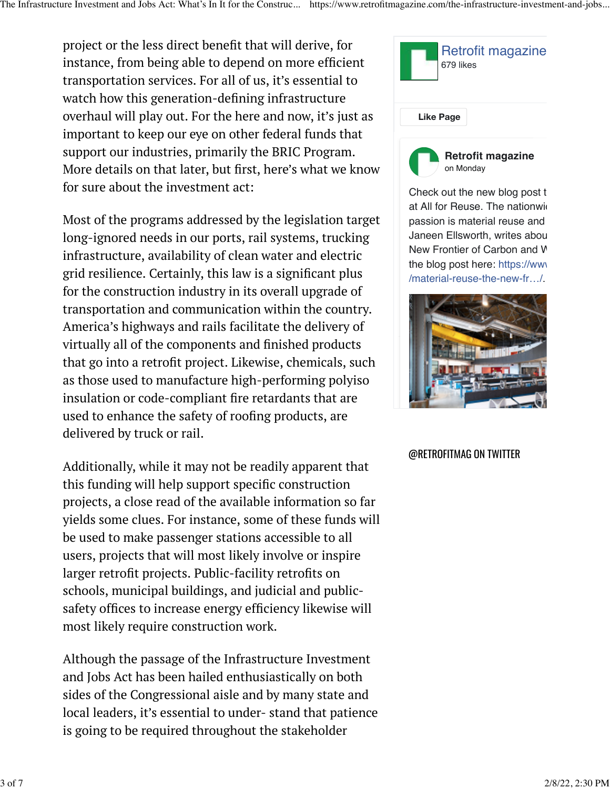project or the less direct benefit that will derive, for instance, from being able to depend on more efficient transportation services. For all of us, it's essential to watch how this generation-defining infrastructure overhaul will play out. For the here and now, it's just as important to keep our eye on other federal funds that support our industries, primarily the BRIC Program. More details on that later, but first, here's what we know for sure about the investment act:

Most of the programs addressed by the legislation target long-ignored needs in our ports, rail systems, trucking infrastructure, availability of clean water and electric grid resilience. Certainly, this law is a significant plus for the construction industry in its overall upgrade of transportation and communication within the country. America's highways and rails facilitate the delivery of virtually all of the components and finished products that go into a retrofit project. Likewise, chemicals, such as those used to manufacture high-performing polyiso insulation or code-compliant fire retardants that are used to enhance the safety of roofing products, are delivered by truck or rail.

Additionally, while it may not be readily apparent that this funding will help support specific construction projects, a close read of the available information so far yields some clues. For instance, some of these funds will be used to make passenger stations accessible to all users, projects that will most likely involve or inspire larger retrofit projects. Public-facility retrofits on schools, municipal buildings, and judicial and publicsafety offices to increase energy efficiency likewise will most likely require construction work.

Although the passage of the Infrastructure Investment and Jobs Act has been hailed enthusiastically on both sides of the Congressional aisle and by many state and local leaders, it's essential to under- stand that patience is going to be required throughout the stakeholder



Check out the new blog post to at All for Reuse. The nationwid passion is material reuse and Janeen Ellsworth, writes abou New Frontier of Carbon and V the blog post here: https://www. /material-reuse-the-new-fr…/.



@RETROFITMAG ON TWITTER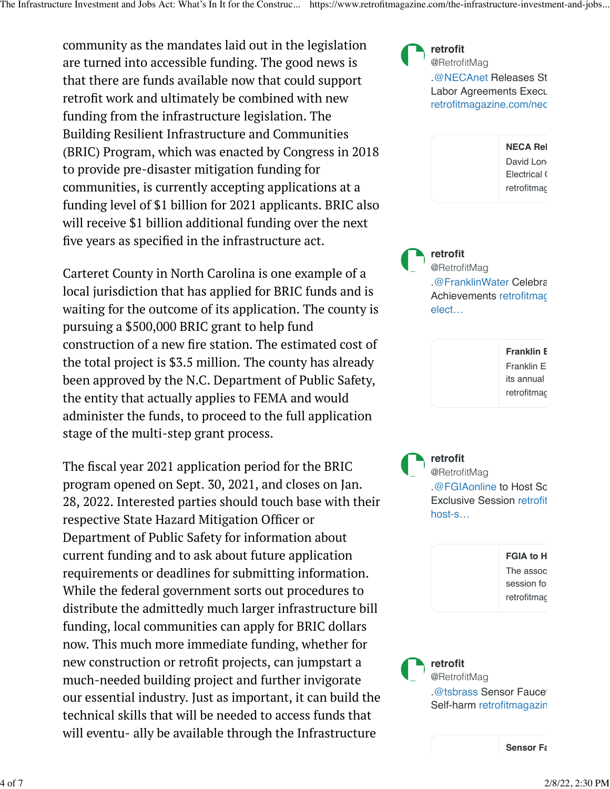community as the mandates laid out in the legislation are turned into accessible funding. The good news is that there are funds available now that could support retrofit work and ultimately be combined with new funding from the infrastructure legislation. The Building Resilient Infrastructure and Communities (BRIC) Program, which was enacted by Congress in 2018 to provide pre-disaster mitigation funding for communities, is currently accepting applications at a funding level of \$1 billion for 2021 applicants. BRIC also will receive \$1 billion additional funding over the next five years as specified in the infrastructure act.

Carteret County in North Carolina is one example of a local jurisdiction that has applied for BRIC funds and is waiting for the outcome of its application. The county is pursuing a \$500,000 BRIC grant to help fund construction of a new fire station. The estimated cost of the total project is \$3.5 million. The county has already been approved by the N.C. Department of Public Safety, the entity that actually applies to FEMA and would administer the funds, to proceed to the full application stage of the multi-step grant process.

The fiscal year 2021 application period for the BRIC program opened on Sept. 30, 2021, and closes on Jan. 28, 2022. Interested parties should touch base with their respective State Hazard Mitigation Officer or Department of Public Safety for information about current funding and to ask about future application requirements or deadlines for submitting information. While the federal government sorts out procedures to distribute the admittedly much larger infrastructure bill funding, local communities can apply for BRIC dollars now. This much more immediate funding, whether for new construction or retrofit projects, can jumpstart a much-needed building project and further invigorate our essential industry. Just as important, it can build the technical skills that will be needed to access funds that will eventu- ally be available through the Infrastructure

[.@NECAnet](https://twitter.com/necanet) Releases St Labor Agreements Execu [retrofitmagazine.com/nec](https://t.co/GunecUoIST) **[retrofit](https://twitter.com/RetrofitMag)** [@RetrofitMag](https://twitter.com/RetrofitMag)

> **[NECA Rel](https://t.co/GunecUoIST)** [David Long](https://t.co/GunecUoIST) Electrical ( [retrofitmag](https://t.co/GunecUoIST)

[.@FranklinWater](https://twitter.com/FranklinWater) Celebra Achievements [retrofitmag](https://t.co/2yIAVeNMOY) [elect…](https://t.co/2yIAVeNMOY) **[retrofit](https://twitter.com/RetrofitMag)** [@RetrofitMag](https://twitter.com/RetrofitMag)

> **[Franklin E](https://t.co/2yIAVeNMOY)** [Franklin El](https://t.co/2yIAVeNMOY) its annual [retrofitmag](https://t.co/2yIAVeNMOY)

[.@FGIAonline](https://twitter.com/fgiaonline) to Host Sc Exclusive Session [retrofit](https://t.co/xSunCInrfK) [host-s…](https://t.co/xSunCInrfK) **[retrofit](https://twitter.com/RetrofitMag)** [@RetrofitMag](https://twitter.com/RetrofitMag)

> **[FGIA to H](https://t.co/xSunCInrfK)** [The assoc](https://t.co/xSunCInrfK) [session for](https://t.co/xSunCInrfK) retrofitmac

 $\omega$ tsbrass Sensor Faucet Self-harm [retrofitmagazin](https://t.co/DjvyZqmTPf) **[retrofit](https://twitter.com/RetrofitMag)** [@RetrofitMag](https://twitter.com/RetrofitMag)

**[Sensor Fa](https://t.co/DjvyZqmTPf)**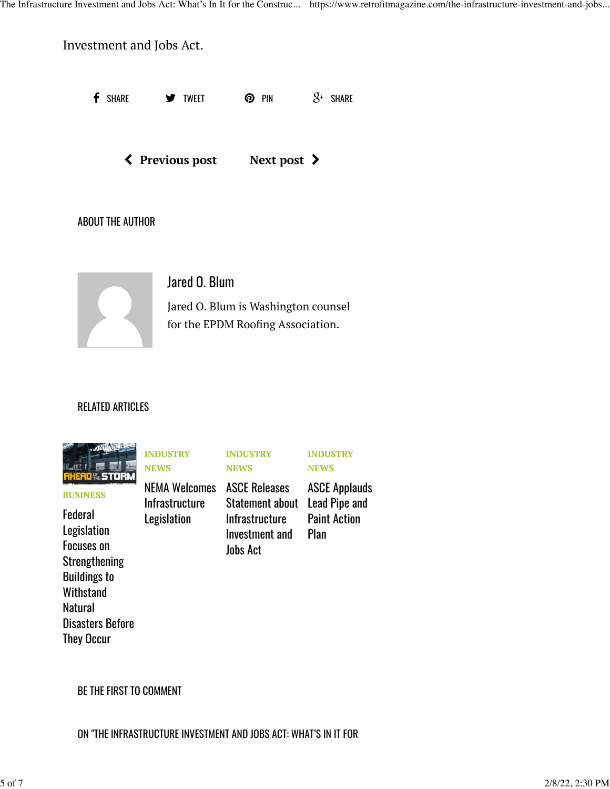**f** share  $\bullet$  tweet  $\bullet$  pin  $S^*$  share Investment and Jobs Act. [\(](https://www.retrofitmagazine.com/turf-products-are-designed-for-interior-and-outdoor-applications/) **[Previous post](https://www.retrofitmagazine.com/turf-products-are-designed-for-interior-and-outdoor-applications/) [Next post](https://www.retrofitmagazine.com/hiring-training-and-retaining-skilled-employees/)** [\)](https://www.retrofitmagazine.com/hiring-training-and-retaining-skilled-employees/) ABOUT THE AUTHOR [Jared O. Blum](https://www.retrofitmagazine.com/author/jaredoblum/) Jared O. Blum is Washington counsel for the EPDM Roofing Association.

### RELATED ARTICLES



**[BUSINESS](https://www.retrofitmagazine.com/category/features/business/)**

### [Federal](https://www.retrofitmagazine.com/federal-legislation-focuses-on-strengthening-buildings-to-withstand-natural-disasters-before-they-occur/) [Legislation](https://www.retrofitmagazine.com/federal-legislation-focuses-on-strengthening-buildings-to-withstand-natural-disasters-before-they-occur/) [Focuses on](https://www.retrofitmagazine.com/federal-legislation-focuses-on-strengthening-buildings-to-withstand-natural-disasters-before-they-occur/) [Strengthening](https://www.retrofitmagazine.com/federal-legislation-focuses-on-strengthening-buildings-to-withstand-natural-disasters-before-they-occur/) [Buildings to](https://www.retrofitmagazine.com/federal-legislation-focuses-on-strengthening-buildings-to-withstand-natural-disasters-before-they-occur/) **[Withstand](https://www.retrofitmagazine.com/federal-legislation-focuses-on-strengthening-buildings-to-withstand-natural-disasters-before-they-occur/) [Natural](https://www.retrofitmagazine.com/federal-legislation-focuses-on-strengthening-buildings-to-withstand-natural-disasters-before-they-occur/)** [Disasters Before](https://www.retrofitmagazine.com/federal-legislation-focuses-on-strengthening-buildings-to-withstand-natural-disasters-before-they-occur/) [They Occur](https://www.retrofitmagazine.com/federal-legislation-focuses-on-strengthening-buildings-to-withstand-natural-disasters-before-they-occur/)

**[INDUSTRY](https://www.retrofitmagazine.com/category/news/industry-news/) [NEWS](https://www.retrofitmagazine.com/category/news/industry-news/)**

**[Legislation](https://www.retrofitmagazine.com/nema-welcomes-infrastructure-legislation/)** 

**[INDUSTRY](https://www.retrofitmagazine.com/category/news/industry-news/) [NEWS](https://www.retrofitmagazine.com/category/news/industry-news/)**

#### **[INDUSTRY](https://www.retrofitmagazine.com/category/news/industry-news/) [NEWS](https://www.retrofitmagazine.com/category/news/industry-news/)**

[NEMA Welcomes](https://www.retrofitmagazine.com/nema-welcomes-infrastructure-legislation/) [ASCE Releases](https://www.retrofitmagazine.com/asce-releases-statement-about-infrastructure-investment-and-jobs-act/) **[Infrastructure](https://www.retrofitmagazine.com/nema-welcomes-infrastructure-legislation/)** [Statement about](https://www.retrofitmagazine.com/asce-releases-statement-about-infrastructure-investment-and-jobs-act/) [Lead Pipe and](https://www.retrofitmagazine.com/asce-applauds-lead-pipe-and-paint-action-plan/) [Infrastructure](https://www.retrofitmagazine.com/asce-releases-statement-about-infrastructure-investment-and-jobs-act/) [Investment and](https://www.retrofitmagazine.com/asce-releases-statement-about-infrastructure-investment-and-jobs-act/) [Jobs Act](https://www.retrofitmagazine.com/asce-releases-statement-about-infrastructure-investment-and-jobs-act/)

[ASCE Applauds](https://www.retrofitmagazine.com/asce-applauds-lead-pipe-and-paint-action-plan/) [Paint Action](https://www.retrofitmagazine.com/asce-applauds-lead-pipe-and-paint-action-plan/) [Plan](https://www.retrofitmagazine.com/asce-applauds-lead-pipe-and-paint-action-plan/)

BE THE FIRST TO COMMENT

ON "THE INFRASTRUCTURE INVESTMENT AND JOBS ACT: WHAT'S IN IT FOR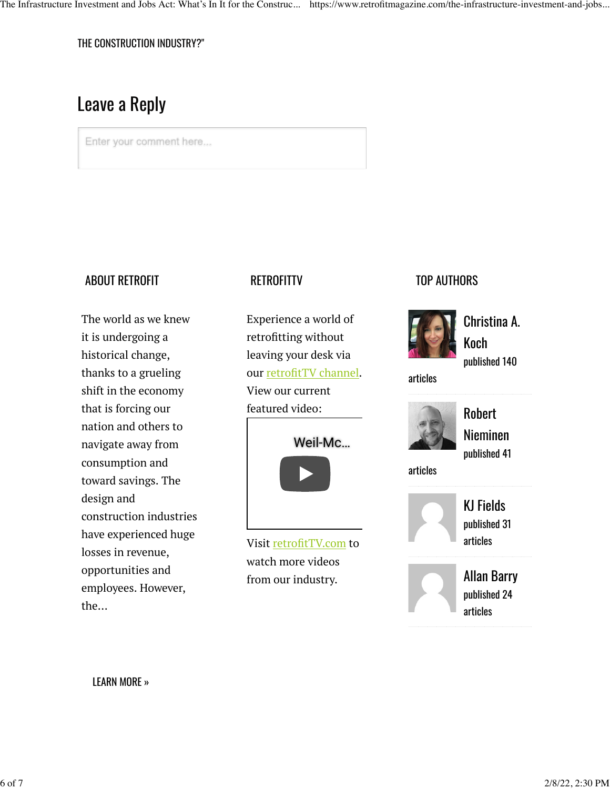THE CONSTRUCTION INDUSTRY?"

# Leave a Reply

Enter your comment here...

### ABOUT RETROFIT

The world as we knew it is undergoing a historical change, thanks to a grueling shift in the economy that is forcing our nation and others to navigate away from consumption and toward savings. The design and construction industries have experienced huge losses in revenue, opportunities and employees. However, the...

## **RETROFITTV**

Experience a world of retrofitting without leaving your desk via our [retrofitTV channel](http://retrofittv.com/). View our current featured video:



Visit [retrofitTV.com](http://retrofittv.com/) to watch more videos from our industry.

## TOP AUTHORS



[Christina A.](https://www.retrofitmagazine.com/author/christinaa-koch/) [Koch](https://www.retrofitmagazine.com/author/christinaa-koch/) published 140

articles



[Robert](https://www.retrofitmagazine.com/author/robertnieminen1/) [Nieminen](https://www.retrofitmagazine.com/author/robertnieminen1/) published 41

articles

[KJ Fields](https://www.retrofitmagazine.com/author/kj-fields/) published 31 articles



[Allan Barry](https://www.retrofitmagazine.com/author/allan/) published 24 articles

[LEARN MORE »](https://www.retrofitmagazine.com/about/)